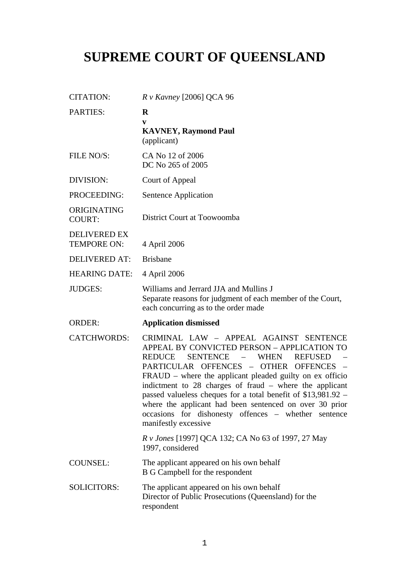## **SUPREME COURT OF QUEENSLAND**

| <b>CITATION:</b>                   | $R$ v Kavney [2006] QCA 96                                                                                                                                                                                                                                                                                                                                                                                                                                                                                                                                      |
|------------------------------------|-----------------------------------------------------------------------------------------------------------------------------------------------------------------------------------------------------------------------------------------------------------------------------------------------------------------------------------------------------------------------------------------------------------------------------------------------------------------------------------------------------------------------------------------------------------------|
| <b>PARTIES:</b>                    | $\bf{R}$<br>V<br><b>KAVNEY, Raymond Paul</b><br>(applicant)                                                                                                                                                                                                                                                                                                                                                                                                                                                                                                     |
| FILE NO/S:                         | CA No 12 of 2006<br>DC No 265 of 2005                                                                                                                                                                                                                                                                                                                                                                                                                                                                                                                           |
| DIVISION:                          | Court of Appeal                                                                                                                                                                                                                                                                                                                                                                                                                                                                                                                                                 |
| PROCEEDING:                        | Sentence Application                                                                                                                                                                                                                                                                                                                                                                                                                                                                                                                                            |
| ORIGINATING<br><b>COURT:</b>       | District Court at Toowoomba                                                                                                                                                                                                                                                                                                                                                                                                                                                                                                                                     |
| <b>DELIVERED EX</b><br>TEMPORE ON: | 4 April 2006                                                                                                                                                                                                                                                                                                                                                                                                                                                                                                                                                    |
| <b>DELIVERED AT:</b>               | <b>Brisbane</b>                                                                                                                                                                                                                                                                                                                                                                                                                                                                                                                                                 |
| <b>HEARING DATE:</b>               | 4 April 2006                                                                                                                                                                                                                                                                                                                                                                                                                                                                                                                                                    |
| <b>JUDGES:</b>                     | Williams and Jerrard JJA and Mullins J<br>Separate reasons for judgment of each member of the Court,<br>each concurring as to the order made                                                                                                                                                                                                                                                                                                                                                                                                                    |
| <b>ORDER:</b>                      | <b>Application dismissed</b>                                                                                                                                                                                                                                                                                                                                                                                                                                                                                                                                    |
| <b>CATCHWORDS:</b>                 | CRIMINAL LAW - APPEAL AGAINST SENTENCE<br>APPEAL BY CONVICTED PERSON - APPLICATION TO<br>REDUCE<br><b>SENTENCE</b><br>WHEN<br><b>REFUSED</b><br>$\sim$<br>PARTICULAR OFFENCES - OTHER OFFENCES<br>$\overline{\phantom{a}}$<br>$FRAUD$ – where the applicant pleaded guilty on ex officio<br>indictment to 28 charges of fraud – where the applicant<br>passed valueless cheques for a total benefit of \$13,981.92 –<br>where the applicant had been sentenced on over 30 prior<br>occasions for dishonesty offences - whether sentence<br>manifestly excessive |
|                                    | R v Jones [1997] QCA 132; CA No 63 of 1997, 27 May<br>1997, considered                                                                                                                                                                                                                                                                                                                                                                                                                                                                                          |
| <b>COUNSEL:</b>                    | The applicant appeared on his own behalf<br>B G Campbell for the respondent                                                                                                                                                                                                                                                                                                                                                                                                                                                                                     |
| <b>SOLICITORS:</b>                 | The applicant appeared on his own behalf<br>Director of Public Prosecutions (Queensland) for the<br>respondent                                                                                                                                                                                                                                                                                                                                                                                                                                                  |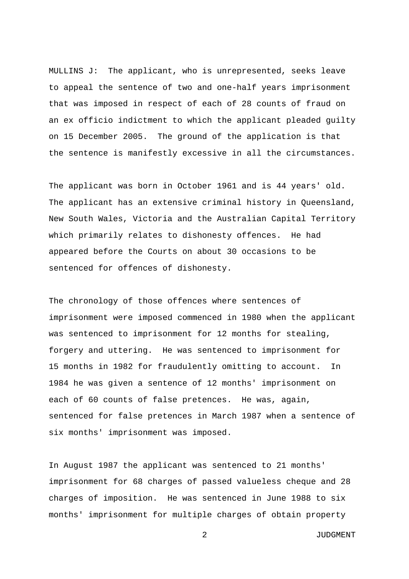MULLINS J: The applicant, who is unrepresented, seeks leave to appeal the sentence of two and one-half years imprisonment that was imposed in respect of each of 28 counts of fraud on an ex officio indictment to which the applicant pleaded guilty on 15 December 2005. The ground of the application is that the sentence is manifestly excessive in all the circumstances.

The applicant was born in October 1961 and is 44 years' old. The applicant has an extensive criminal history in Queensland, New South Wales, Victoria and the Australian Capital Territory which primarily relates to dishonesty offences. He had appeared before the Courts on about 30 occasions to be sentenced for offences of dishonesty.

The chronology of those offences where sentences of imprisonment were imposed commenced in 1980 when the applicant was sentenced to imprisonment for 12 months for stealing, forgery and uttering. He was sentenced to imprisonment for 15 months in 1982 for fraudulently omitting to account. In 1984 he was given a sentence of 12 months' imprisonment on each of 60 counts of false pretences. He was, again, sentenced for false pretences in March 1987 when a sentence of six months' imprisonment was imposed.

In August 1987 the applicant was sentenced to 21 months' imprisonment for 68 charges of passed valueless cheque and 28 charges of imposition. He was sentenced in June 1988 to six months' imprisonment for multiple charges of obtain property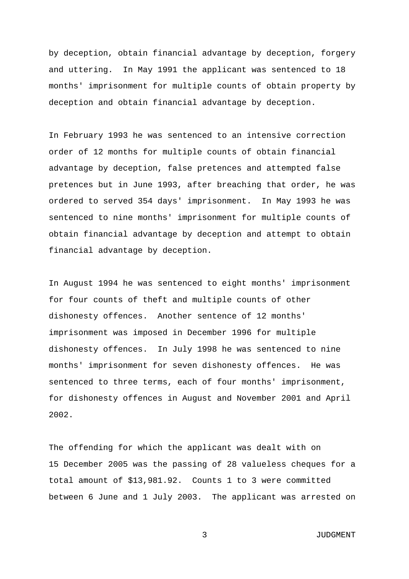by deception, obtain financial advantage by deception, forgery and uttering. In May 1991 the applicant was sentenced to 18 months' imprisonment for multiple counts of obtain property by deception and obtain financial advantage by deception.

In February 1993 he was sentenced to an intensive correction order of 12 months for multiple counts of obtain financial advantage by deception, false pretences and attempted false pretences but in June 1993, after breaching that order, he was ordered to served 354 days' imprisonment. In May 1993 he was sentenced to nine months' imprisonment for multiple counts of obtain financial advantage by deception and attempt to obtain financial advantage by deception.

In August 1994 he was sentenced to eight months' imprisonment for four counts of theft and multiple counts of other dishonesty offences. Another sentence of 12 months' imprisonment was imposed in December 1996 for multiple dishonesty offences. In July 1998 he was sentenced to nine months' imprisonment for seven dishonesty offences. He was sentenced to three terms, each of four months' imprisonment, for dishonesty offences in August and November 2001 and April 2002.

The offending for which the applicant was dealt with on 15 December 2005 was the passing of 28 valueless cheques for a total amount of \$13,981.92. Counts 1 to 3 were committed between 6 June and 1 July 2003. The applicant was arrested on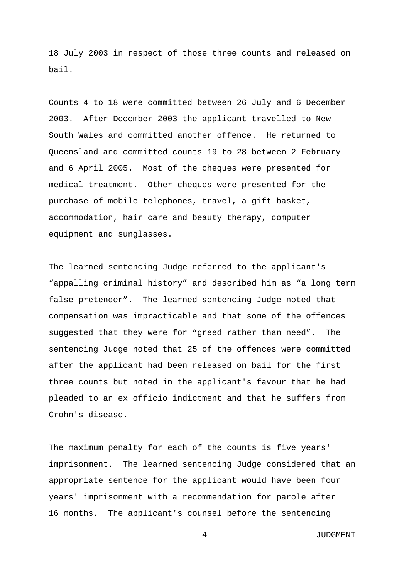18 July 2003 in respect of those three counts and released on bail.

Counts 4 to 18 were committed between 26 July and 6 December 2003. After December 2003 the applicant travelled to New South Wales and committed another offence. He returned to Queensland and committed counts 19 to 28 between 2 February and 6 April 2005. Most of the cheques were presented for medical treatment. Other cheques were presented for the purchase of mobile telephones, travel, a gift basket, accommodation, hair care and beauty therapy, computer equipment and sunglasses.

The learned sentencing Judge referred to the applicant's "appalling criminal history" and described him as "a long term false pretender". The learned sentencing Judge noted that compensation was impracticable and that some of the offences suggested that they were for "greed rather than need". The sentencing Judge noted that 25 of the offences were committed after the applicant had been released on bail for the first three counts but noted in the applicant's favour that he had pleaded to an ex officio indictment and that he suffers from Crohn's disease.

The maximum penalty for each of the counts is five years' imprisonment. The learned sentencing Judge considered that an appropriate sentence for the applicant would have been four years' imprisonment with a recommendation for parole after 16 months. The applicant's counsel before the sentencing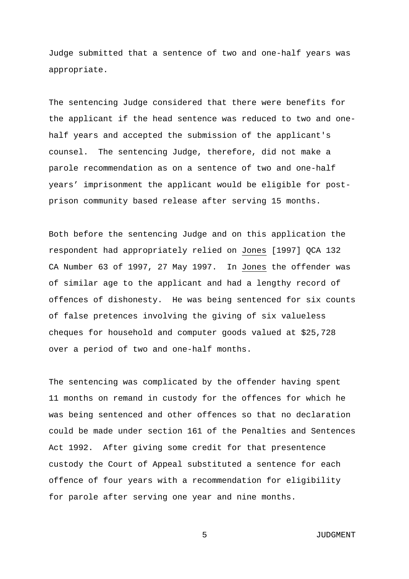Judge submitted that a sentence of two and one-half years was appropriate.

The sentencing Judge considered that there were benefits for the applicant if the head sentence was reduced to two and onehalf years and accepted the submission of the applicant's counsel. The sentencing Judge, therefore, did not make a parole recommendation as on a sentence of two and one-half years' imprisonment the applicant would be eligible for postprison community based release after serving 15 months.

Both before the sentencing Judge and on this application the respondent had appropriately relied on Jones [1997] QCA 132 CA Number 63 of 1997, 27 May 1997. In Jones the offender was of similar age to the applicant and had a lengthy record of offences of dishonesty. He was being sentenced for six counts of false pretences involving the giving of six valueless cheques for household and computer goods valued at \$25,728 over a period of two and one-half months.

The sentencing was complicated by the offender having spent 11 months on remand in custody for the offences for which he was being sentenced and other offences so that no declaration could be made under section 161 of the Penalties and Sentences Act 1992. After giving some credit for that presentence custody the Court of Appeal substituted a sentence for each offence of four years with a recommendation for eligibility for parole after serving one year and nine months.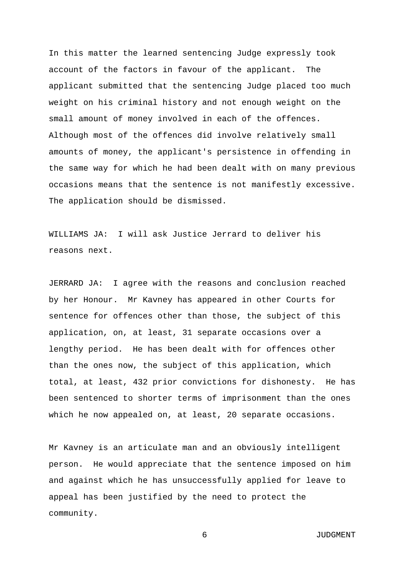In this matter the learned sentencing Judge expressly took account of the factors in favour of the applicant. The applicant submitted that the sentencing Judge placed too much weight on his criminal history and not enough weight on the small amount of money involved in each of the offences. Although most of the offences did involve relatively small amounts of money, the applicant's persistence in offending in the same way for which he had been dealt with on many previous occasions means that the sentence is not manifestly excessive. The application should be dismissed.

WILLIAMS JA: I will ask Justice Jerrard to deliver his reasons next.

JERRARD JA: I agree with the reasons and conclusion reached by her Honour. Mr Kavney has appeared in other Courts for sentence for offences other than those, the subject of this application, on, at least, 31 separate occasions over a lengthy period. He has been dealt with for offences other than the ones now, the subject of this application, which total, at least, 432 prior convictions for dishonesty. He has been sentenced to shorter terms of imprisonment than the ones which he now appealed on, at least, 20 separate occasions.

Mr Kavney is an articulate man and an obviously intelligent person. He would appreciate that the sentence imposed on him and against which he has unsuccessfully applied for leave to appeal has been justified by the need to protect the community.